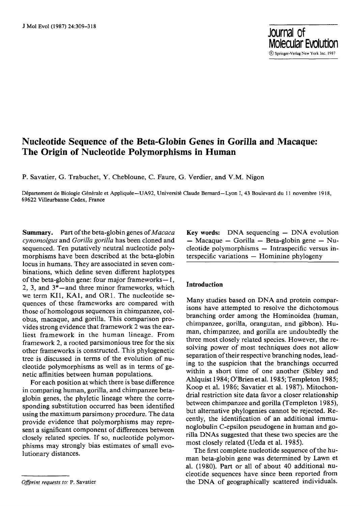# **Nucleotide Sequence of the Beta-Globin Genes in Gorilla and Macaque: The Origin of Nucleotide Polymorphisms in Human**

P. Savatier, G. Trabuchet, Y. Chebloune, C. Faure, G. Verdier, and V.M. Nigon

Département de Biologie Générale et Appliquée--UA92, Université Claude Bernard--Lyon I, 43 Boulevard du 11 novembre 1918, 69622 Villeurbanne Cedex, **France** 

**Summary.** Part of the beta-globin genes of *Macaca cynomolgus* and *Gorilla gorilla* has been cloned and sequenced. Ten putatively neutral nucleotide polymorphisms have been described at the beta-globin locus in humans. They are associated in seven combinations, which define seven different haplotypes of the beta-globin gene: four major frameworks- $1$ , 2, 3, and  $3^*$  -and three minor frameworks, which we term KI1, KA1, and OR1. The nucleotide sequences of these frameworks are compared with those of homologous sequences in chimpanzee, colobus, macaque, and gorilla. This comparison provides strong evidence that framework 2 was the earliest framework in the human lineage. From framework 2, a rooted parsimonious tree for the six other frameworks is constructed. This phylogenetic tree is discussed in terms of the evolution of nucleotide polymorphisms as well as in terms of genetic affinities between human populations.

For each position at which there is base difference in comparing human, gorilla, and chimpanzee betaglobin genes, the phyletic lineage where the corresponding substitution occurred has been identified using the maximum parsimony procedure. The data provide evidence that polymorphisms may represent a significant component of differences between closely related species. If so, nucleotide polymorphisms may strongly bias estimates of small evolutionary distances.

*Offprint requests to:* P. Savatier

**Key words:** DNA sequencing  $-$  DNA evolution -- Macaque -- Gorilla -- Beta-globin gene -- Nucleotide polymorphisms -- Intraspecific versus in $t$ erspecific variations  $-$  Hominine phylogeny

**Journal of** 

**Molecular Evolution**  (~) Spfinger-Verlag New York Inc. 1987

#### **Introduction**

Many studies based on DNA and protein comparisons have attempted to resolve the dichotomous branching order among the Hominoidea (human, chimpanzee, gorilla, orangutan, and gibbon). Human, chimpanzee, and gorilla are undoubtedly the three most closely related species. However, the resolving power of most techniques does not allow separation of their respective branching nodes, leading to the suspicion that the branchings occurred within a short time of one another (Sibley and Ahlquist 1984; O'Brien et al. 1985; Templeton 1985; Koop et al. 1986; Savatier et al. 1987). Mitochondrial restriction site data favor a closer relationship between chimpanzee and gorilla (Templeton 1985), but alternative phylogenies cannot be rejected. Recently, the identification of an additional immunoglobulin C-epsilon pseudogene in human and gorilla DNAs suggested that these two species are the most closely related (Ueda et al. 1985).

The first complete nucleotide sequence of the human beta-globin gene was determined by Lawn et al. (1980). Part or all of about 40 additional nucleotide sequences have since been reported from the DNA of geographically scattered individuals.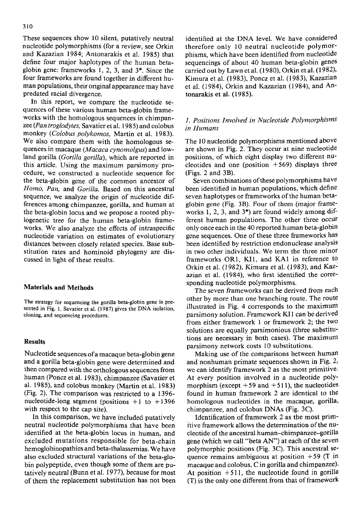These sequences show 10 silent, putatively neutral nucleotide polymorphisms (for a review, see Orkin and Kazazian 1984; Antonarakis et al. 1985) that define four major haplotypes of the human betaglobin gene: frameworks I, 2, 3, and 3\*. Since the four frameworks are found together in different human populations, their original appearance may have predated racial divergence.

In this report, we compare the nucleotide sequences of these various human beta-globin frameworks with the homologous sequences in chimpanzee *(Pan troglodytes,* Savatier et al. 1985) and colobus monkey *(Colobus polykomos,* Martin et al. 1983). We also compare them with the homologous sequences in macaque *(Macaca cynomolgus)* and lowland gorilla *(Gorilla gorilla),* which are reported in this article. Using the maximum parsimony procedure, we constructed a nucleotide sequence for the beta-globin gene of the common ancestor of *Homo, Pan,* and *Gorilla.* Based on this ancestral sequence, we analyze the origin of nucleotide differences among chimpanzee, gorilla, and human at the beta-globin locus and we propose a rooted phylogenetic tree for the human beta-globin frameworks. We also analyze the effects of intraspecific nucleotide variation on estimates of evolutionary distances between closely related species. Base substitution rates and hominoid phylogeny are discussed in light of these results.

#### **Materials and Methods**

The strategy for sequencing the gorilla beta-globin gene is presented in Fig. 1. Savatier et al. (1987) gives the DNA isolation, cloning, and sequencing procedures.

#### **Results**

Nucleotide sequences of a macaque beta-globin gene and a gorilla beta-globin gene were determined and then compared with the orthologous sequences from human (Poncz et al. 1983), chimpanzee (Savatier et al. 1985), and colobus monkey (Martin et al. 1983) (Fig. 2). The comparison was restricted to a 1396 nucleotide-long segment (positions  $+1$  to  $+1396$ with respect to the cap site).

In this comparison, we have included putatively neutral nucleotide polymorphisms that have been identified at the beta-globin locus in human, and excluded mutations responsible for beta-chain hemoglobinopathies and beta-thalassemias. We have also excluded structural variations of the beta-globin polypeptide, even though some of them are putatively neutral (Bunn et al. 1977), because for most of them the replacement substitution has not been

identified at the DNA level. We have considered therefore only 10 neutral nucleotide polymorphisms, which have been identified from nucleotide sequencings of about 40 human beta-globin genes carried out by Lawn et al. (1980), Orkin et al. (1982), Kimura et al. (1983), Poncz et al. (1983), Kazazian et al. (1984), Orkin and Kazazian (1984), and Antonarakis et al. (1985).

## *1. Positions Involved in Nucleotide Polymorphisms in Humans*

The 10 nucleotide polymorphisms mentioned above are shown in Fig. 2. They occur at nine nucleotide positions, of which eight display two different nucleotides and one (position  $+569$ ) displays three (Figs. 2 and 3B).

Seven combinations of these polymorphisms have been identified in human populations, which define seven haplotypes or frameworks of the human betaglobin gene (Fig. 3B). Four of them (major frameworks 1, 2, 3, and 3\*) are found widely among different human populations. The other three occur only once each in the 40 reported human beta-globin gene sequences. One of these three frameworks has been identified by restriction endonuclease analysis in two other individuals. We term the three minor frameworks OR1, KI1, and KA1 in reference to Orkin et al. (1982), Kimura et al. (1983), and Kazazian et al. (1984), who first identified the corresponding nucleotide polymorphisms.

The seven frameworks can be derived from each other by more than one branching route. The route illustrated in Fig. 4 corresponds to the maximum parsimony solution. Framework KI1 can be derived from either framework 1 or framework 2; the two solutions are equally parsimonious (three substitutions are necessary in both cases). The maximum parsimony network costs 10 substitutions.

Making use of the comparisons between human and nonhuman primate sequences shown in Fig. 2, we can identify framework 2 as the most primitive. *At* every position involved in a nucleotide polymorphism (except  $+59$  and  $+511$ ), the nucleotides found in human framework 2 are identical to the homologous nucleotides in the macaque, gorilla, chimpanzee, and colobus DNAs (Fig. 3C).

Identification of framework 2 as the most primitive framework allows the determination of the nucleotide of the ancestral human--chimpanzee-gorilla gene (which we call "beta AN") at each of the seven polymorphic positions (Fig. 3C). This ancestral sequence remains ambiguous at position  $+59$  (T in macaque and colobus, C in gorilla and chimpanzee). At position  $+511$ , the nucleotide found in gorilla (T) is the only one different from that of framework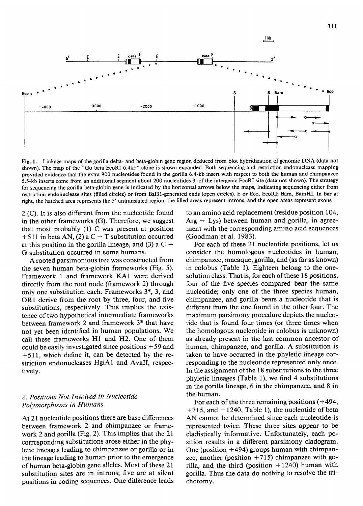

Fig. 1. Linkage maps of the gorilla delta- and beta-globin gene region deduced from blot hybridization of genomic DNA (data not shown). The map of the "Go beta EcoRI 6.4kb" clone is shown expanded. Both sequencing and restriction endonuclease mapping provided evidence that the extra 900 nucleotides found in the gorilla 6.4-kb insert with respect to both the human and chimpanzee 5.5-kb inserts come from an additional segment about 200 nucleotides 3' of the intergenic EcoRI site (data not shown). The strategy for sequencing the gorilla beta-globin gene is indicated by the horizontal arrows below the maps, indicating sequencing either from restriction endonuclease sites (filled circles) or from Bal31-generated ends (open circles). E or Eco, EcoRI; Barn, BamHI. In bar at right, the hatched area represents the 5' untranslated region, the filled areas represent introns, and the open areas represent exons

2 (C). It is also different from the nucleotide found in the other frameworks (G). Therefore, we suggest that most probably (1) C was present at position  $+ 511$  in beta AN, (2) a C  $\rightarrow$  T substitution occurred at this position in the gorilla lineage, and (3) a C  $\rightarrow$ G substitution occurred in some humans.

A rooted parsimonious tree was constructed from the seven human beta-globin frameworks (Fig. 5). Framework 1 and framework KA1 were derived directly from the root node (framework 2) through only one substitution each. Frameworks 3", 3, and ORI derive from the root by three, four, and five substitutions, respectively. This implies the existence of two hypothetical intermediate frameworks between framework 2 and framework 3\* that have not yet been identified in human populations. We call these frameworks H1 and H2. One of them could be easily investigated since positions  $+59$  and + 511, which define it, can be detected by the restriction endonucleases HgiA1 and AvaII, respectively.

## *2. Positions Not Involved in Nucleotide Polymorphisms in Humans*

At 21 nucleotide positions there are base differences between framework 2 and chimpanzee or framework 2 and gorilla (Fig. 2). This implies that the 21 corresponding substitutions arose either in the phyletic lineages leading to chimpanzee or gorilla or in the lineage leading to human prior to the emergence of human beta-globin gene alleles. Most of these 21 substitution sites are in introns; five are at silent positions in coding sequences. One difference leads to an amino acid replacement (residue position 104,  $Arg \leftrightarrow Lys$ ) between human and gorilla, in agreement with the corresponding amino acid sequences (Goodman et al. 1983).

For each of these 21 nucleotide positions, let us consider the homologous nucleotides in human, chimpanzee, macaque, gorilla, and (as far as known) in colobus (Table 1). Eighteen belong to the onesolution class. That is, for each of these 18 positions, four of the five species compared bear the same nucleotide; only one of the three species human, chimpanzee, and gorilla bears a nucleotide that is different from the one found in the other four. The maximum parsimony procedure depicts the nucleotide that is found four times (or three times when the homologous nucleotide in colobus is unknown) as already present in the last common ancestor of human, chimpanzee, and gorilla. A substitution is taken to have occurred in the phyletic lineage corresponding to the nucleotide represented only once. In the assignment of the 18 substitutions to the three phyletic lineages (Table 1), we find 4 substitutions in the gorilla lineage, 6 in the chimpanzee, and 8 in the human.

For each of the three remaining positions  $(+494,$  $+715$ , and  $+1240$ , Table 1), the nucleotide of beta AN cannot be determined since each nucleotide is represented twice. These three sites appear to be cladistically informative. Unfortunately, each position results in a different parsimony cladogram. One (position  $+494$ ) groups human with chimpanzee, another (position  $+715$ ) chimpanzee with gorilla, and the third (position  $+1240$ ) human with gorilla. Thus the data do nothing to resolve the trichotomy.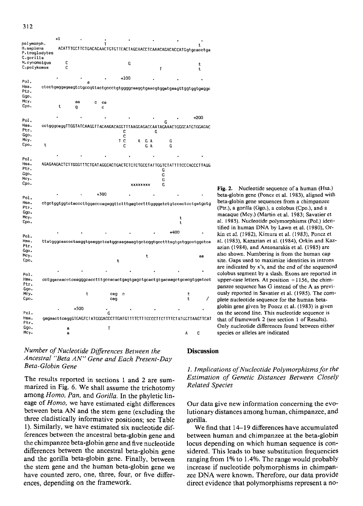

#### Number of Nucleotide Differences Between the Ancestral "Beta AN" Gene and Each Present-Day Beta-Globin Gene

The results reported in sections 1 and 2 are summarized in Fig. 6. We shall assume the trichotomy among Homo, Pan, and Gorilla. In the phyletic lineage of Homo, we have estimated eight differences between beta AN and the stem gene (excluding the three cladistically informative positions; see Table 1). Similarly, we have estimated six nucleotide differences between the ancestral beta-globin gene and the chimpanzee beta-globin gene and five nucleotide differences between the ancestral beta-globin gene and the gorilla beta-globin gene. Finally, between the stem gene and the human beta-globin gene we have counted zero, one, three, four, or five differences, depending on the framework.

Fig. 2. Nucleotide sequence of a human (Hsa.) beta-globin gene (Poncz et al. 1983), aligned with beta-globin gene sequences from a chimpanzee (Ptr.), a gorilla (Ggo.), a colobus (Cpo.), and a macaque (Mcy.) (Martin et al. 1983; Savatier et al. 1985). Nucleotide polymorphisms (Pol.) identified in human DNA by Lawn et al. (1980), Orkin et al. (1982), Kimura et al. (1983), Poncz et al. (1983), Kazazian et al. (1984), Orkin and Kazazian (1984), and Antonarakis et al. (1985) are also shown. Numbering is from the human cap site. Gaps used to maximize identities in introns are indicated by x's, and the end of the sequenced colobus segment by a slash. Exons are reported in upper-case letters. At position  $+1156$ , the chimpanzee sequence has G instead of the A as previously reported in Savatier et al. (1985). The complete nucleotide sequence for the human betaglobin gene given by Poncz et al. (1983) is given on the second line. This nucleotide sequence is that of framework 2 (see section 1 of Results). Only nucleotide differences found between either species or alleles are indicated

## **Discussion**

## 1. Implications of Nucleotide Polymorphisms for the **Estimation of Genetic Distances Between Closely Related Species**

Our data give new information concerning the evolutionary distances among human, chimpanzee, and gorilla.

We find that 14–19 differences have accumulated between human and chimpanzee at the beta-globin locus depending on which human sequence is considered. This leads to base substitution frequencies ranging from 1% to 1.4%. The range would probably increase if nucleotide polymorphisms in chimpanzee DNA were known. Therefore, our data provide direct evidence that polymorphisms represent a no-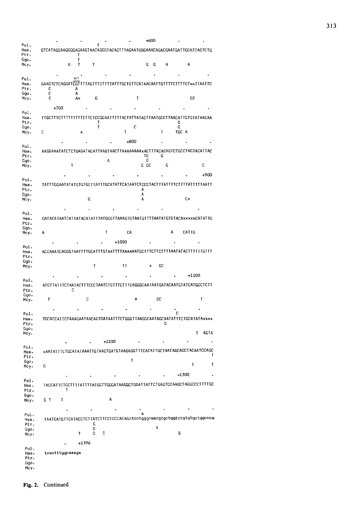| GTCATAGGAAGGGGAAGAAGTAACAGGGTACAGTTTAGAATGGGAAACAGACGAATGATTGCATCAGTGTG |             |        |         |                                                      |        |         |    |            |         |
|-------------------------------------------------------------------------|-------------|--------|---------|------------------------------------------------------|--------|---------|----|------------|---------|
|                                                                         | Τ           |        |         |                                                      |        |         |    |            |         |
|                                                                         | т<br>A<br>т | Ŧ      |         |                                                      |        | G<br>G  | A  |            | А       |
|                                                                         |             |        |         |                                                      |        |         |    |            |         |
|                                                                         |             |        |         |                                                      |        |         |    |            |         |
| GAAGTCTCAGGATCGTTT                                                      |             |        |         | TAGTTTCTTTTATTTGCTGTTCATAACAATTGTTTTCTTTTGTxxTTAATTC |        |         |    |            |         |
| с<br>с                                                                  | Α<br>Α      |        |         |                                                      |        |         |    |            |         |
| c                                                                       | A×          | C      |         |                                                      | T      |         |    |            | GT      |
| +700                                                                    |             |        |         |                                                      |        |         |    |            |         |
|                                                                         |             |        |         |                                                      |        |         |    |            |         |
| TIGCITICITITITITIC                                                      |             |        | T       | TCTCCGCAATTTTTACTATTATACTTAATGCCTTAACATTGTGTATAACAA  |        |         |    | G          |         |
| с                                                                       | ×           | τ      |         | Τ                                                    | с      |         | T  | G<br>TGC A |         |
|                                                                         |             |        |         |                                                      |        |         |    |            |         |
|                                                                         |             |        |         | $+800$                                               |        |         |    |            |         |
|                                                                         |             |        |         |                                                      |        |         |    |            |         |
|                                                                         |             |        | A       |                                                      |        | ΤG<br>G | G  |            |         |
|                                                                         | T           |        |         |                                                      | c GC   |         | G  |            |         |
|                                                                         |             |        |         |                                                      |        |         |    |            |         |
|                                                                         |             |        |         |                                                      |        |         |    |            |         |
| TATTTGGAATATATGTGTGCTTATTTGCATATTCATAATCTCCCTACTTTATTTTCTTTTATTTTJAATT  |             |        |         |                                                      | A      |         |    |            |         |
|                                                                         |             | C      |         |                                                      | A<br>A |         |    |            | C×      |
|                                                                         |             |        |         |                                                      |        |         |    |            |         |
|                                                                         |             |        |         |                                                      |        |         |    |            |         |
| GATACATAATCATTATACATATTTATGGGTTAAAGTGTAATGTTTTAATATGTGTACAxxxxxCATATTG  |             |        |         |                                                      |        |         |    |            |         |
|                                                                         |             |        |         |                                                      |        |         |    |            |         |
| Α                                                                       |             |        | T       | СA                                                   |        |         |    | А          | CATTG   |
|                                                                         |             |        |         | $+1000$                                              |        |         |    |            |         |
|                                                                         |             |        |         |                                                      |        |         |    |            |         |
|                                                                         |             |        |         |                                                      |        |         |    |            |         |
|                                                                         |             |        |         |                                                      |        |         |    |            |         |
|                                                                         |             | T      |         | ΤT                                                   |        | ×       | CC |            |         |
|                                                                         |             |        |         |                                                      |        |         |    |            | $+1100$ |
| ATCTTATTTCTAATACTTTCCCTAATCTCTTTCTTTCAGGGCAATAATGATACAATGTATCATGCCTCTT  |             |        |         |                                                      |        |         |    |            |         |
|                                                                         | С           |        |         |                                                      |        |         |    |            |         |
| Τ                                                                       |             | c      |         |                                                      | А      |         | СC |            |         |
|                                                                         |             |        |         |                                                      |        |         |    |            |         |
|                                                                         |             |        |         |                                                      |        |         |    |            |         |
| TGCACCATTCTAAAGAATAACAGTGATAATTTCTGGGTTAAGGCAATAGCAATATTTCTGCATATAxxxx  |             |        |         |                                                      |        |         | G  |            |         |
|                                                                         |             |        |         |                                                      |        |         |    |            |         |
|                                                                         |             |        |         |                                                      |        |         |    |            | T       |
|                                                                         |             |        | $+1200$ |                                                      |        |         |    |            |         |
| xAATATTTCTGCATATAAATTGTAACTGATGTAAGAGGTTTCATATTGCTAATAGCAGCTACAATCCAGC  |             |        |         |                                                      |        |         |    |            |         |
|                                                                         |             |        |         | T                                                    |        |         |    |            |         |
| G                                                                       |             |        |         |                                                      |        |         |    |            | T       |
|                                                                         |             |        |         |                                                      |        |         |    | +1300      |         |
| TACCATTCTGCTTTTATTTTATGGTTGGGATAAGGCTGGATTATTCTGAGTCCAAGCTAGGCCCTTTTGC  |             |        |         |                                                      |        |         |    |            |         |
|                                                                         | т           |        |         |                                                      |        |         |    |            |         |
|                                                                         |             |        |         |                                                      |        |         |    |            |         |
| T<br>G T                                                                |             |        | Α       |                                                      |        |         |    |            |         |
|                                                                         |             |        |         |                                                      |        |         |    |            |         |
|                                                                         |             |        |         |                                                      | e      |         |    |            |         |
|                                                                         |             |        |         |                                                      |        |         |    |            |         |
| TAATCATGTTCATACCTCTTATCTTCCTCCCACAGeteetgggcaaegtgctggtetgtgtgctggccca  |             | G      |         |                                                      |        |         |    |            |         |
|                                                                         | T           | C<br>C | C       |                                                      |        | t       |    | g          |         |
|                                                                         |             |        |         |                                                      |        |         |    |            |         |
|                                                                         |             | +1396  |         |                                                      |        |         |    |            |         |
| tcactttggcaaaga                                                         |             |        |         |                                                      |        |         |    |            |         |
|                                                                         |             |        |         |                                                      |        |         |    |            |         |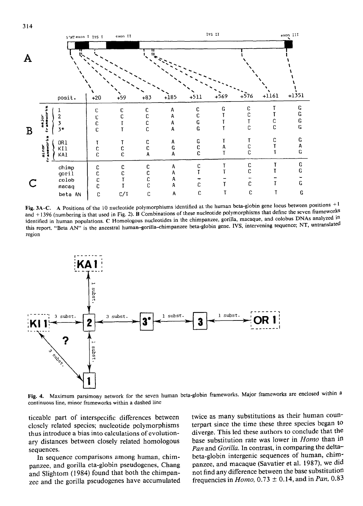



Fig. 3A-C. A Positions of the 10 nucleotide polymorphisms identified at the human beta-globin gene locus between positions  $+1$ and +1396 (numbering is that used in Fig. 2). B Combinations of these nucleotide polymorphisms that define the seven frameworks identified in human populations. C Homologous nucleotides in the chimpanzee, gorilla, macaque, and colobus DNAs analyzed in this report. "Beta AN" is the ancestral human-gorilla-chimpanzee beta-globin gene. IVS, intervening sequence; NT, untranslated region



Fig. 4. Maximum parsimony network for the seven human beta-globin frameworks. Major frameworks are enclosed within a continuous line, minor frameworks within a dashed line

ticeable part of interspecific differences between closely related species; nucleotide polymorphisms thus introduce a bias into calculations of evolutionary distances between closely related homologous sequences.

In sequence comparisons among human, chimpanzee, and gorilla eta-globin pseudogenes, Chang and Slightom (1984) found that both the chimpanzee and the gorilla pseudogenes have accumulated twice as many substitutions as their human counterpart since the time these three species began to diverge. This led these authors to conclude that the base substitution rate was lower in *Homo* than in Pan and Gorilla. In contrast, in comparing the deltabeta-globin intergenic sequences of human, chimpanzee, and macaque (Savatier et al. 1987), we did not find any difference between the base substitution frequencies in *Homo*,  $0.73 \pm 0.14$ , and in *Pan*, 0.83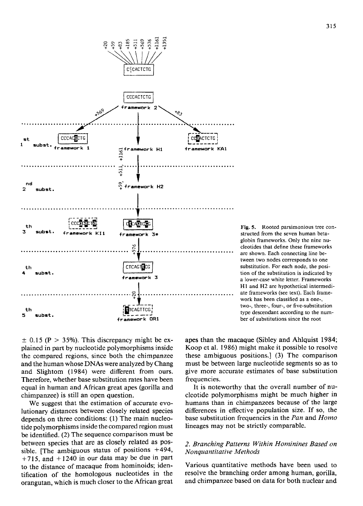

Fig. 5. Rooted parsimonious tree constructed from the seven human betaglobin frameworks. Only the nine nucleotides that define these frameworks are shown. Each connecting line between two nodes corresponds to one substitution. For each node, the position of the substitution is indicated by a lower-case white letter. Frameworks H1 and H2 are hypothetical intermediate frameworks (see text). Each framework has been classified as a one-, two-, three-, four-, or five-substitution type descendant according to the number of substitutions since the root

 $\pm$  0.15 (P > 35%). This discrepancy might be explained in part by nucleotide polymorphisms inside the compared regions, since both the chimpanzee and the human whose DNAs were analyzed by Chang and Slightom (1984) were different from ours. Therefore, whether base substitution rates have been equal in human and African great apes (gorilla and chimpanzee) is still an open question.

We suggest that the estimation of accurate evolutionary distances between closely related species depends on three conditions: (1) The main nucleotide polymorphisms inside the compared region must be identified. (2) The sequence comparison must be between species that are as closely related as possible. [The ambiguous status of positions +494,  $+715$ , and  $+1240$  in our data may be due in part to the distance of macaque from hominoids; identification of the homologous nucleotides in the orangutan, which is much closer to the African great

apes than the macaque (Sibley and Ahlquist 1984; Koop et al. 1986) might make it possible to resolve these ambiguous positions.] (3) The comparison must be between large nucleotide segments so as to give more accurate estimates of base substitution frequencies.

It is noteworthy that the overall number of nucleotide polymorphisms might be much higher in humans than in chimpanzees because of the large differences in effective population size. If so, the base substitution frequencies in the *Pan* and *Homo*  lineages may not be strictly comparable.

## *2. Branching Patterns Within Hominines Based on Nonquantitative Methods*

Various quantitative methods have been used to resolve the branching order among human, gorilla, and chimpanzee based on data for both nuclear and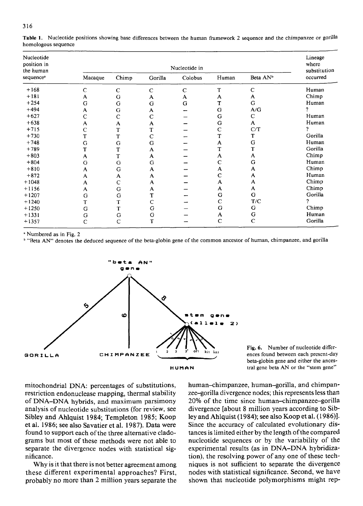| Nucleotide<br>position in<br>the human<br>sequence <sup>a</sup> |             | Lineage<br>where<br>substitution |             |              |              |                      |          |
|-----------------------------------------------------------------|-------------|----------------------------------|-------------|--------------|--------------|----------------------|----------|
|                                                                 | Macaque     | Chimp                            | Gorilla     | Colobus      | Human        | Beta AN <sup>b</sup> | occurred |
| $+168$                                                          | $\mathbf C$ | $\mathsf{C}$                     | $\mathbf C$ | $\mathsf{C}$ | T            | $\mathbf C$          | Human    |
| $+181$                                                          | A           | G                                | A           | A            | A            | A                    | Chimp    |
| $+254$                                                          | G           | G                                | G           | G            | T            | G                    | Human    |
| $+494$                                                          | A           | G                                | A           |              | G            | A/G                  | ŋ        |
| $+627$                                                          | C           | $\mathsf{C}$                     | $\mathbf C$ |              | G            | C                    | Human    |
| $+638$                                                          | A           | A                                | A           |              | G            | A                    | Human    |
| $+715$                                                          | $\mathbf C$ | T                                | T           |              | $\mathsf{C}$ | C/T                  | 2        |
| $+730$                                                          | T           | T                                | $\mathbf C$ |              | T            | T                    | Gorilla  |
| $+748$                                                          | G           | G                                | G           |              | A            | G                    | Human    |
| $+789$                                                          | T           | T                                | A           |              | T            | T                    | Gorilla  |
| $+803$                                                          | A           | T                                | A           |              | A            | A                    | Chimp    |
| $+804$                                                          | G           | G                                | G           |              | Ċ            | G                    | Human    |
| $+810$                                                          | A           | G                                | A           |              | A            | A                    | Chimp    |
| $+872$                                                          | A           | A                                | A           |              | $\mathbf C$  | A                    | Human    |
| $+1048$                                                         | A           | $\mathsf{C}$                     | A           |              | A            | A                    | Chimp    |
| $+1156$                                                         | A           | G                                | A           |              | A            | A                    | Chimp    |
| $+1207$                                                         | G           | G                                | T           |              | G            | G                    | Gorilla  |
| $+1240$                                                         | T           | т                                | С           |              | C            | T/C                  | 7        |
| $+1250$                                                         | G           | т                                | G           |              | G            | G                    | Chimp    |
| $+1331$                                                         | G           | G                                | G           |              | A            | G                    | Human    |
| $+1357$                                                         | $\mathbf C$ | C                                | т           |              | $\mathsf{C}$ | $\mathbf C$          | Gorilla  |

Table 1. Nucleotide positions showing base differences between the human framework 2 sequence and the chimpanzee or gorilla homologous sequence

<sup>a</sup> Numbered as in Fig. 2

<sup>b</sup> "Beta AN" denotes the deduced sequence of the beta-globin gene of the common ancestor of human, chimpanzee, and gorilla



Fig. 6. Number of nucleotide differences found between each present-day beta-globin gene and either the ancestral gene beta AN or the "stem gene"

mitochondrial DNA: percentages of substitutions, restriction endonuclease mapping, thermal stability of DNA-DNA hybrids, and maximum parsimony analysis of nucleotide substitutions (for review, see Sibley and Ahlquist 1984; Templeton 1985; Koop et al. 1986; see also Savatier et al. 1987). Data were found to support each of the three alternative cladograms but most of these methods were not able to separate the divergence nodes with statistical significance.

Why is it that there is not better agreement among these different experimental approaches? First, probably no more than 2 million years separate the

human-chimpanzee, human-gorilla, and chimpanzee-gorilla divergence nodes; this represents less than 20% of the time since human-chimpanzee-gorilla divergence [about 8 million years according to Sibley and Ahlquist (1984); see also Koop et al. (1986)]. Since the accuracy of calculated evolutionary distances is limited either by the length of the compared nucleotide sequences or by the variability of the experimental results (as in DNA-DNA hybridization), the resolving power of any one of these techniques is not sufficient to separate the divergence nodes with statistical significance. Second, we have shown that nucleotide polymorphisms might rep-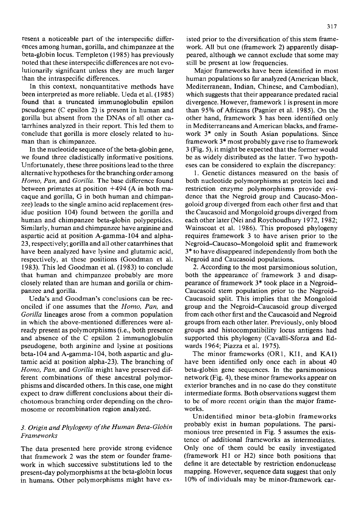resent a noticeable part of the interspecific differences among human, gorilla, and chimpanzee at the beta-globin locus. Templeton (1985) has previously noted that these interspecific differences are not evolutionarily significant unless they are much larger than the intraspecific differences.

In this context, nonquantitative methods have been interpreted as more reliable. Ueda et al. (1985) found that a truncated immunoglobulin epsilon pseudogene (C epsilon 2) is present in human and gorilla but absent from the DNAs of all other catarrhines analyzed in their report. This led them to conclude that gorilla is more closely related to human than is chimpanzee.

In the nucleotide sequence of the beta-globin gene, we found three cladistically informative positions. Unfortunately, these three positions lead to the three alternative hypotheses for the branching order among *Homo, Pan,* and *Gorilla.* The base difference found between primates at position  $+494$  (A in both macaque and gorilla, G in both human and chimpanzee) leads to the single amino acid replacement (residue position 104) found between the gorilla and human and chimpanzee beta-globin polypeptides. Similarly, human and chimpanzee have arginine and aspartic acid at position A-gamma-104 and alpha-23, respectively; gorilla and all other catarrhines that have been analyzed have lysine and glutamic acid, respectively, at these positions (Goodman et al. 1983). This led Goodman et al. (1983) to conclude that human and chimpanzee probably are more closely related than are human and gorilla or chimpanzee and gorilla.

Ueda's and Goodman's conclusions can be reconciled if one assumes that the *Homo, Pan,* and *Gorilla* lineages arose from a common population in which the above-mentioned differences were already present as polymorphisms (i.e., both presence and absence of the C epsilon 2 immunoglobulin pseudogene, both arginine and lysine at positions beta- 104 and A-gamma- 104, both aspartic and glutamic acid at position alpha-23). The branching of *Homo, Pan,* and *Gorilla* might have preserved different combinations of these ancestral polymorphisms and discarded others. In this case, one might expect to draw different conclusions about their dichotomous branching order depending on the chromosome or recombination region analyzed.

## *3. Origin and Phylogeny of the Human Beta-Globin Frameworks*

The data presented here provide strong evidence that framework 2 was the stem or founder framework in which successive substitutions led to the present-day polymorphisms at the beta-globin locus in humans. Other polymorphisms might have existed prior to the diversification of this stem framework. All but one (framework 2) apparently disappeared, although we cannot exclude that some may still be present at low frequencies.

Major frameworks have been identified in most human populations so far analyzed (American black, Mediterranean, Indian, Chinese, and Cambodian), which suggests that their appearance predated racial divergence. However, framework 1 is present in more than 95% of Africans (Pagnier et al. 1985). On the other hand, framework 3 has been identified only in Mediterraneans and American blacks, and framework 3\* only in South Asian populations. Since framework 3\* most probably gave rise to framework 3 (Fig. 5), it might be expected that the former would be as widely distributed as the latter. Two hypotheses can be considered to explain the discrepancy:

1. Genetic distances measured on the basis of both nucleotide polymorphisms at protein loci and restriction enzyme polymorphisms provide evidence that the Negroid group and Caucaso-Mongoloid group diverged from each other first and that the Caucasoid and Mongoloid groups diverged from each other later (Nei and Roychoudhury 1972, 1982; Wainscoat et al. 1986). This proposed phylogeny requires framework 3 to have arisen prior to the Negroid-Caucaso-Mongoloid split and framework 3\* to have disappeared independently from both the Negroid and Caucasoid populations.

2. According to the most parsimonious solution, both the appearance of framework 3 and disappearance of framework 3\* took place in a Negroid-Caucasoid stem population prior to the Negroid-Caucasoid split. This implies that the Mongoloid group and the Negroid-Caucasoid group diverged from each other first and the Caucasoid and Negroid groups from each other later. Previously, only blood groups and histocompatibility locus antigens had supported this phylogeny (Cavalli-Sforza and Edwards 1964; Piazza et al. 1975).

The minor frameworks (OR1, KI1, and KA1) have been identified only once each in about 40 beta-globin gene sequences. In the parsimonious network (Fig. 4), these minor frameworks appear on exterior branches and in no case do they constitute intermediate forms. Both observations suggest them to be of more recent origin than the major frameworks.

Unidentified minor beta-globin frameworks probably exist in human populations. The parsimonious tree presented in Fig. 5 assumes the existence of additional frameworks as intermediates. Only one of them could be easily investigated (framework H1 or H2) since both positions that define it are detectable by restriction endonuclease mapping. However, sequence data suggest that only 10% of individuals may be minor-framework car